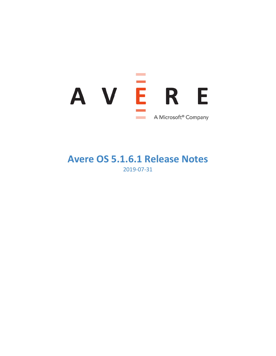

# **Avere OS 5.1.6.1 Release Notes** 2019-07-31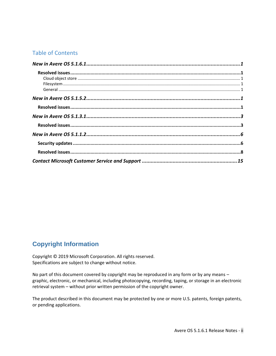## Table of Contents

# **Copyright Information**

Copyright © 2019 Microsoft Corporation. All rights reserved. Specifications are subject to change without notice.

No part of this document covered by copyright may be reproduced in any form or by any means – graphic, electronic, or mechanical, including photocopying, recording, taping, or storage in an electronic retrieval system – without prior written permission of the copyright owner.

The product described in this document may be protected by one or more U.S. patents, foreign patents, or pending applications.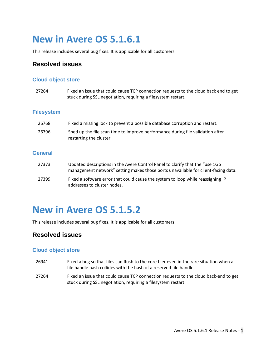# **New in Avere OS 5.1.6.1**

This release includes several bug fixes. It is applicable for all customers.

## <span id="page-2-0"></span>**Resolved issues**

## <span id="page-2-1"></span>**Cloud object store**

<span id="page-2-2"></span>

| 27264             | Fixed an issue that could cause TCP connection requests to the cloud back end to get<br>stuck during SSL negotiation, requiring a filesystem restart.             |
|-------------------|-------------------------------------------------------------------------------------------------------------------------------------------------------------------|
| <b>Filesystem</b> |                                                                                                                                                                   |
| 26768             | Fixed a missing lock to prevent a possible database corruption and restart.                                                                                       |
| 26796             | Sped up the file scan time to improve performance during file validation after<br>restarting the cluster.                                                         |
| <b>General</b>    |                                                                                                                                                                   |
| 27373             | Updated descriptions in the Avere Control Panel to clarify that the "use 1Gb<br>management network" setting makes those ports unavailable for client-facing data. |
| 27399             | Fixed a software error that could cause the system to loop while reassigning IP<br>addresses to cluster nodes.                                                    |
|                   |                                                                                                                                                                   |

# <span id="page-2-4"></span><span id="page-2-3"></span>**New in Avere OS 5.1.5.2**

This release includes several bug fixes. It is applicable for all customers.

## <span id="page-2-5"></span>**Resolved issues**

## **Cloud object store**

- 26941 Fixed a bug so that files can flush to the core filer even in the rare situation when a file handle hash collides with the hash of a reserved file handle.
- 27264 Fixed an issue that could cause TCP connection requests to the cloud back-end to get stuck during SSL negotiation, requiring a filesystem restart.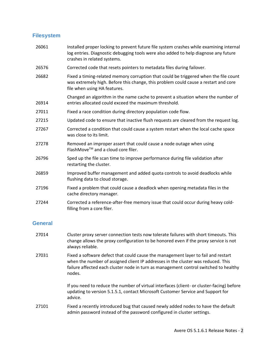### **Filesystem**

26061 Installed proper locking to prevent future file system crashes while examining internal log entries. Diagnostic debugging tools were also added to help diagnose any future crashes in related systems. 26576 Corrected code that resets pointers to metadata files during failover. 26682 Fixed a timing-related memory corruption that could be triggered when the file count was extremely high. Before this change, this problem could cause a restart and core file when using HA features. 26914 Changed an algorithm in the name cache to prevent a situation where the number of entries allocated could exceed the maximum threshold. 27011 Fixed a race condition during directory population code flow. 27215 Updated code to ensure that inactive flush requests are cleared from the request log. 27267 Corrected a condition that could cause a system restart when the local cache space was close to its limit. 27278 Removed an improper assert that could cause a node outage when using  $F$ lashMove<sup>TM</sup> and a cloud core filer. 26796 Sped up the file scan time to improve performance during file validation after restarting the cluster. 26859 Improved buffer management and added quota controls to avoid deadlocks while flushing data to cloud storage. 27196 Fixed a problem that could cause a deadlock when opening metadata files in the cache directory manager. 27244 Corrected a reference-after-free memory issue that could occur during heavy coldfilling from a core filer.

#### **General**

- 27014 Cluster proxy server connection tests now tolerate failures with short timeouts. This change allows the proxy configuration to be honored even if the proxy service is not always reliable.
- 27031 Fixed a software defect that could cause the management layer to fail and restart when the number of assigned client IP addresses in the cluster was reduced. This failure affected each cluster node in turn as management control switched to healthy nodes.

If you need to reduce the number of virtual interfaces (client- or cluster-facing) before updating to version 5.1.5.1, contact Microsoft Customer Service and Support for advice.

27101 Fixed a recently introduced bug that caused newly added nodes to have the default admin password instead of the password configured in cluster settings.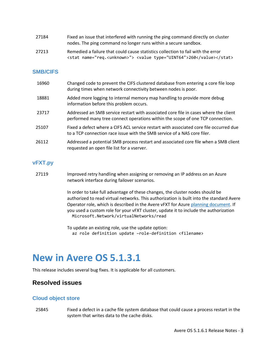| 27184 | Fixed an issue that interfered with running the ping command directly on cluster |
|-------|----------------------------------------------------------------------------------|
|       | nodes. The ping command no longer runs within a secure sandbox.                  |

27213 Remedied a failure that could cause statistics collection to fail with the error <stat name="req.<unknown>"> <value type="UINT64">260</value></stat>

#### **SMB/CIFS**

| 16960 | Changed code to prevent the CIFS clustered database from entering a core file loop<br>during times when network connectivity between nodes is poor.                    |
|-------|------------------------------------------------------------------------------------------------------------------------------------------------------------------------|
| 18881 | Added more logging to internal memory map handling to provide more debug<br>information before this problem occurs.                                                    |
| 23717 | Addressed an SMB service restart with associated core file in cases where the client<br>performed many tree connect operations within the scope of one TCP connection. |
| 25107 | Fixed a defect where a CIFS ACL service restart with associated core file occurred due<br>to a TCP connection race issue with the SMB service of a NAS core filer.     |
| 26112 | Addressed a potential SMB process restart and associated core file when a SMB client<br>requested an open file list for a vserver.                                     |

#### **vFXT.py**

27119 Improved retry handling when assigning or removing an IP address on an Azure network interface during failover scenarios.

> In order to take full advantage of these changes, the cluster nodes should be authorized to read virtual networks. This authorization is built into the standard Avere Operator role, which is described in the Avere vFXT for Azure [planning document.](https://docs.microsoft.com/en-us/azure/avere-vfxt/avere-vfxt-deploy-plan#vm-access-roles) If you used a custom role for your vFXT cluster, update it to include the authorization Microsoft.Network/virtualNetworks/read

To update an existing role, use the update option: az role definition update –role-definition <filename>

# <span id="page-4-0"></span>**New in Avere OS 5.1.3.1**

This release includes several bug fixes. It is applicable for all customers.

## <span id="page-4-1"></span>**Resolved issues**

#### **Cloud object store**

25845 Fixed a defect in a cache file system database that could cause a process restart in the system that writes data to the cache disks.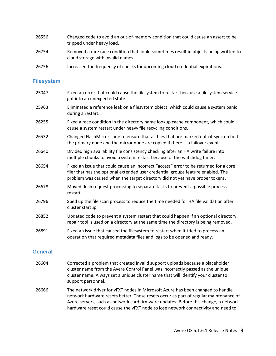| 26556 | Changed code to avoid an out-of-memory condition that could cause an assert to be<br>tripped under heavy load.             |
|-------|----------------------------------------------------------------------------------------------------------------------------|
| 26754 | Removed a rare race condition that could sometimes result in objects being written to<br>cloud storage with invalid names. |

26756 Increased the frequency of checks for upcoming cloud credential expirations.

#### **Filesystem**

| 25047 | Fixed an error that could cause the filesystem to restart because a filesystem service<br>got into an unexpected state.                                                                                                                                   |
|-------|-----------------------------------------------------------------------------------------------------------------------------------------------------------------------------------------------------------------------------------------------------------|
| 25963 | Eliminated a reference leak on a filesystem object, which could cause a system panic<br>during a restart.                                                                                                                                                 |
| 26255 | Fixed a race condition in the directory name lookup cache component, which could<br>cause a system restart under heavy file recycling conditions.                                                                                                         |
| 26532 | Changed FlashMirror code to ensure that all files that are marked out-of-sync on both<br>the primary node and the mirror node are copied if there is a failover event.                                                                                    |
| 26640 | Divided high availability file consistency checking after an HA write failure into<br>multiple chunks to avoid a system restart because of the watchdog timer.                                                                                            |
| 26654 | Fixed an issue that could cause an incorrect "access" error to be returned for a core<br>filer that has the optional extended user credential groups feature enabled. The<br>problem was caused when the target directory did not yet have proper tokens. |
| 26678 | Moved flush request processing to separate tasks to prevent a possible process<br>restart.                                                                                                                                                                |
| 26796 | Sped up the file scan process to reduce the time needed for HA file validation after<br>cluster startup.                                                                                                                                                  |
| 26852 | Updated code to prevent a system restart that could happen if an optional directory<br>repair tool is used on a directory at the same time the directory is being removed.                                                                                |
| 26891 | Fixed an issue that caused the filesystem to restart when it tried to process an<br>operation that required metadata files and logs to be opened and ready.                                                                                               |
|       |                                                                                                                                                                                                                                                           |

#### **General**

- 26604 Corrected a problem that created invalid support uploads because a placeholder cluster name from the Avere Control Panel was incorrectly passed as the unique cluster name. Always set a unique cluster name that will identify your cluster to support personnel.
- 26666 The network driver for vFXT nodes in Microsoft Azure has been changed to handle network hardware resets better. These resets occur as part of regular maintenance of Azure servers, such as network card firmware updates. Before this change, a network hardware reset could cause the vFXT node to lose network connectivity and need to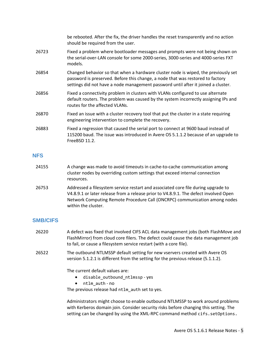|       | be rebooted. After the fix, the driver handles the reset transparently and no action<br>should be required from the user.                                                                                                                                 |
|-------|-----------------------------------------------------------------------------------------------------------------------------------------------------------------------------------------------------------------------------------------------------------|
| 26723 | Fixed a problem where bootloader messages and prompts were not being shown on<br>the serial-over-LAN console for some 2000-series, 3000-series and 4000-series FXT<br>models.                                                                             |
| 26854 | Changed behavior so that when a hardware cluster node is wiped, the previously set<br>password is preserved. Before this change, a node that was restored to factory<br>settings did not have a node management password until after it joined a cluster. |
| 26856 | Fixed a connectivity problem in clusters with VLANs configured to use alternate<br>default routers. The problem was caused by the system incorrectly assigning IPs and<br>routes for the affected VLANs.                                                  |
| 26870 | Fixed an issue with a cluster recovery tool that put the cluster in a state requiring<br>engineering intervention to complete the recovery.                                                                                                               |
| 26883 | Fixed a regression that caused the serial port to connect at 9600 baud instead of<br>115200 baud. The issue was introduced in Avere OS 5.1.1.2 because of an upgrade to<br>FreeBSD 11.2.                                                                  |

#### **NFS**

- 24155 A change was made to avoid timeouts in cache-to-cache communication among cluster nodes by overriding custom settings that exceed internal connection resources.
- 26753 Addressed a filesystem service restart and associated core file during upgrade to V4.8.9.1 or later release from a release prior to V4.8.9.1. The defect involved Open Network Computing Remote Procedure Call (ONCRPC) communication among nodes within the cluster.

## **SMB/CIFS**

- 26220 A defect was fixed that involved CIFS ACL data management jobs (both FlashMove and FlashMirror) from cloud core filers. The defect could cause the data management job to fail, or cause a filesystem service restart (with a core file).
- 26522 The outbound NTLMSSP default setting for new vservers created with Avere OS version 5.1.2.1 is different from the setting for the previous release (5.1.1.2).

The current default values are:

- disable outbound ntlmssp yes
- ntlm\_auth no

The previous release had ntlm auth set to yes.

Administrators might choose to enable outbound NTLMSSP to work around problems with Kerberos domain join. Consider security risks before changing this setting. The setting can be changed by using the XML-RPC command method cifs.setOptions.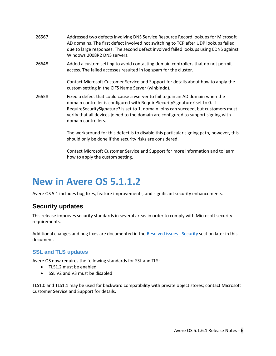- 26567 Addressed two defects involving DNS Service Resource Record lookups for Microsoft AD domains. The first defect involved not switching to TCP after UDP lookups failed due to large responses. The second defect involved failed lookups using EDNS against Windows 2008R2 DNS servers.
- 26648 Added a custom setting to avoid contacting domain controllers that do not permit access. The failed accesses resulted in log spam for the cluster.

Contact Microsoft Customer Service and Support for details about how to apply the custom setting in the CIFS Name Server (winbindd).

26658 Fixed a defect that could cause a vserver to fail to join an AD domain when the domain controller is configured with RequireSecuritySignature? set to 0. If RequireSecuritySignature? is set to 1, domain joins can succeed, but customers must verify that all devices joined to the domain are configured to support signing with domain controllers.

> The workaround for this defect is to disable this particular signing path, however, this should only be done if the security risks are considered.

Contact Microsoft Customer Service and Support for more information and to learn how to apply the custom setting.

# <span id="page-7-0"></span>**New in Avere OS 5.1.1.2**

Avere OS 5.1 includes bug fixes, feature improvements, and significant security enhancements.

## <span id="page-7-1"></span>**Security updates**

This release improves security standards in several areas in order to comply with Microsoft security requirements.

Additional changes and bug fixes are documented in the [Resolved issues -](#page-14-0) Security section later in this document.

### **SSL and TLS updates**

Avere OS now requires the following standards for SSL and TLS:

- TLS1.2 must be enabled
- SSL V2 and V3 must be disabled

<span id="page-7-2"></span>TLS1.0 and TLS1.1 may be used for backward compatibility with private object stores; contact Microsoft Customer Service and Support for details.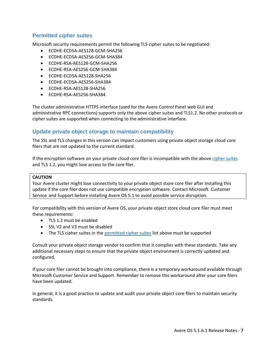### **Permitted cipher suites**

Microsoft security requirements permit the following TLS cipher suites to be negotiated:

- ECDHE-ECDSA-AES128-GCM-SHA256
- ECDHE-ECDSA-AES256-GCM-SHA384
- ECDHE-RSA-AES128-GCM-SHA256
- ECDHE-RSA-AES256-GCM-SHA384
- ECDHE-ECDSA-AES128-SHA256
- ECDHE-ECDSA-AES256-SHA384
- ECDHE-RSA-AES128-SHA256
- ECDHE-RSA-AES256-SHA384

The cluster administrative HTTPS interface (used for the Avere Control Panel web GUI and administrative RPC connections) supports only the above cipher suites and TLS1.2. No other protocols or cipher suites are supported when connecting to the administrative interface.

### **Update private object storage to maintain compatibility**

The SSL and TLS changes in this version can impact customers using private object storage cloud core filers that are not updated to the current standard.

If the encryption software on your private cloud core filer is incompatible with the above [cipher](#page-7-2) suites and TLS 1.2, you might lose access to the core filer.

#### **CAUTION**

Your Avere cluster might lose connectivity to your private object store core filer after installing this update if the core filer does not use compatible encryption software. Contact Microsoft Customer Service and Support before installing Avere OS 5.1 to avoid possible service disruption.

For compatibility with this version of Avere OS, your private object store cloud core filer must meet these requirements:

- TLS 1.2 must be enabled
- SSL V2 and V3 must be disabled
- The TLS cipher suites in the [permitted cipher suites](#page-7-2) list above must be supported

Consult your private object storage vendor to confirm that it complies with these standards. Take any additional necessary steps to ensure that the private object environment is correctly updated and configured.

If your core filer cannot be brought into compliance, there is a temporary workaround available through Microsoft Customer Service and Support. Remember to remove this workaround after your core filers have been updated.

In general, it is a good practice to update and audit your private object core filers to maintain security standards.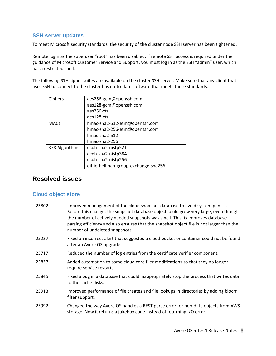### **SSH server updates**

To meet Microsoft security standards, the security of the cluster node SSH server has been tightened.

Remote login as the superuser "root" has been disabled. If remote SSH access is required under the guidance of Microsoft Customer Service and Support, you must log in as the SSH "admin" user, which has a restricted shell.

The following SSH cipher suites are available on the cluster SSH server. Make sure that any client that uses SSH to connect to the cluster has up-to-date software that meets these standards.

| Ciphers               | aes256-gcm@openssh.com               |
|-----------------------|--------------------------------------|
|                       | aes128-gcm@openssh.com               |
|                       | aes256-ctr                           |
|                       | aes128-ctr                           |
| <b>MACs</b>           | hmac-sha2-512-etm@openssh.com        |
|                       | hmac-sha2-256-etm@openssh.com        |
|                       | hmac-sha2-512                        |
|                       | hmac-sha2-256                        |
| <b>KEX Algorithms</b> | ecdh-sha2-nistp521                   |
|                       | ecdh-sha2-nistp384                   |
|                       | ecdh-sha2-nistp256                   |
|                       | diffie-hellman-group-exchange-sha256 |

## <span id="page-9-0"></span>**Resolved issues**

### **Cloud object store**

| 23802 | Improved management of the cloud snapshot database to avoid system panics.<br>Before this change, the snapshot database object could grow very large, even though<br>the number of actively needed snapshots was small. This fix improves database<br>parsing efficiency and also ensures that the snapshot object file is not larger than the<br>number of undeleted snapshots. |
|-------|----------------------------------------------------------------------------------------------------------------------------------------------------------------------------------------------------------------------------------------------------------------------------------------------------------------------------------------------------------------------------------|
| 25227 | Fixed an incorrect alert that suggested a cloud bucket or container could not be found<br>after an Avere OS upgrade.                                                                                                                                                                                                                                                             |
| 25717 | Reduced the number of log entries from the certificate verifier component.                                                                                                                                                                                                                                                                                                       |
| 25837 | Added automation to some cloud core filer modifications so that they no longer<br>require service restarts.                                                                                                                                                                                                                                                                      |
| 25845 | Fixed a bug in a database that could inappropriately stop the process that writes data<br>to the cache disks.                                                                                                                                                                                                                                                                    |
| 25913 | Improved performance of file creates and file lookups in directories by adding bloom<br>filter support.                                                                                                                                                                                                                                                                          |
| 25992 | Changed the way Avere OS handles a REST parse error for non-data objects from AWS<br>storage. Now it returns a jukebox code instead of returning I/O error.                                                                                                                                                                                                                      |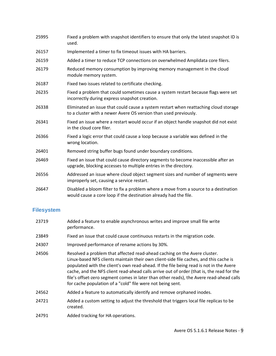| 25995 | Fixed a problem with snapshot identifiers to ensure that only the latest snapshot ID is<br>used.                                                         |
|-------|----------------------------------------------------------------------------------------------------------------------------------------------------------|
| 26157 | Implemented a timer to fix timeout issues with HA barriers.                                                                                              |
| 26159 | Added a timer to reduce TCP connections on overwhelmed Amplidata core filers.                                                                            |
| 26179 | Reduced memory consumption by improving memory management in the cloud<br>module memory system.                                                          |
| 26187 | Fixed two issues related to certificate checking.                                                                                                        |
| 26235 | Fixed a problem that could sometimes cause a system restart because flags were set<br>incorrectly during express snapshot creation.                      |
| 26338 | Eliminated an issue that could cause a system restart when reattaching cloud storage<br>to a cluster with a newer Avere OS version than used previously. |
| 26341 | Fixed an issue where a restart would occur if an object handle snapshot did not exist<br>in the cloud core filer.                                        |
| 26366 | Fixed a logic error that could cause a loop because a variable was defined in the<br>wrong location.                                                     |
| 26401 | Removed string buffer bugs found under boundary conditions.                                                                                              |
| 26469 | Fixed an issue that could cause directory segments to become inaccessible after an<br>upgrade, blocking accesses to multiple entries in the directory.   |
| 26556 | Addressed an issue where cloud object segment sizes and number of segments were<br>improperly set, causing a service restart.                            |
| 26647 | Disabled a bloom filter to fix a problem where a move from a source to a destination<br>would cause a core loop if the destination already had the file. |

## **Filesystem**

| 23719 | Added a feature to enable asynchronous writes and improve small file write<br>performance.                                                                                                                                                                                                                                                                                                                                                                                                                         |
|-------|--------------------------------------------------------------------------------------------------------------------------------------------------------------------------------------------------------------------------------------------------------------------------------------------------------------------------------------------------------------------------------------------------------------------------------------------------------------------------------------------------------------------|
| 23849 | Fixed an issue that could cause continuous restarts in the migration code.                                                                                                                                                                                                                                                                                                                                                                                                                                         |
| 24307 | Improved performance of rename actions by 30%.                                                                                                                                                                                                                                                                                                                                                                                                                                                                     |
| 24506 | Resolved a problem that affected read-ahead caching on the Avere cluster.<br>Linux-based NFS clients maintain their own client-side file caches, and this cache is<br>populated with the client's own read-ahead. If the file being read is not in the Avere<br>cache, and the NFS client read-ahead calls arrive out of order (that is, the read for the<br>file's offset-zero segment comes in later than other reads), the Avere read-ahead calls<br>for cache population of a "cold" file were not being sent. |
| 24562 | Added a feature to automatically identify and remove orphaned inodes.                                                                                                                                                                                                                                                                                                                                                                                                                                              |
| 24721 | Added a custom setting to adjust the threshold that triggers local file replicas to be<br>created.                                                                                                                                                                                                                                                                                                                                                                                                                 |
| 24791 | Added tracking for HA operations.                                                                                                                                                                                                                                                                                                                                                                                                                                                                                  |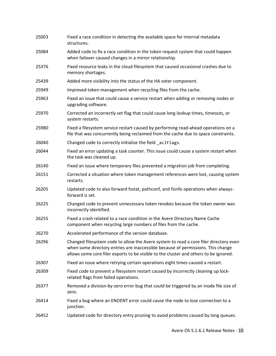| 25003 | Fixed a race condition in detecting the available space for internal metadata<br>structures.                                                                                                                                                                       |
|-------|--------------------------------------------------------------------------------------------------------------------------------------------------------------------------------------------------------------------------------------------------------------------|
| 25084 | Added code to fix a race condition in the token request system that could happen<br>when failover caused changes in a mirror relationship.                                                                                                                         |
| 25376 | Fixed resource leaks in the cloud filesystem that caused occasional crashes due to<br>memory shortages.                                                                                                                                                            |
| 25439 | Added more visibility into the status of the HA voter component.                                                                                                                                                                                                   |
| 25949 | Improved token management when recycling files from the cache.                                                                                                                                                                                                     |
| 25963 | Fixed an issue that could cause a service restart when adding or removing nodes or<br>upgrading software.                                                                                                                                                          |
| 25970 | Corrected an incorrectly set flag that could cause long lookup times, timeouts, or<br>system restarts.                                                                                                                                                             |
| 25980 | Fixed a filesystem service restart caused by performing read-ahead operations on a<br>file that was concurrently being reclaimed from the cache due to space constraints.                                                                                          |
| 26040 | Changed code to correctly initialize the field _aclFlags.                                                                                                                                                                                                          |
| 26044 | Fixed an error updating a task counter. This issue could cause a system restart when<br>the task was cleaned up.                                                                                                                                                   |
| 26140 | Fixed an issue where temporary files prevented a migration job from completing.                                                                                                                                                                                    |
| 26151 | Corrected a situation where token management references were lost, causing system<br>restarts.                                                                                                                                                                     |
| 26205 | Updated code to also forward fsstat, pathconf, and fsinfo operations when always-<br>forward is set.                                                                                                                                                               |
| 26225 | Changed code to prevent unnecessary token revokes because the token owner was<br>incorrectly identified.                                                                                                                                                           |
| 26255 | Fixed a crash related to a race condition in the Avere Directory Name Cache<br>component when recycling large numbers of files from the cache.                                                                                                                     |
| 26270 | Accelerated performance of the version database.                                                                                                                                                                                                                   |
| 26296 | Changed filesystem code to allow the Avere system to read a core filer directory even<br>when some directory entries are inaccessible because of permissions. This change<br>allows some core filer exports to be visible to the cluster and others to be ignored. |
| 26307 | Fixed an issue where retrying certain operations eight times caused a restart.                                                                                                                                                                                     |
| 26309 | Fixed code to prevent a filesystem restart caused by incorrectly cleaning up lock-<br>related flags from failed operations.                                                                                                                                        |
| 26377 | Removed a division-by-zero error bug that could be triggered by an inode file size of<br>zero.                                                                                                                                                                     |
| 26414 | Fixed a bug where an ENOENT error could cause the node to lose connection to a<br>junction.                                                                                                                                                                        |
| 26452 | Updated code for directory entry pruning to avoid problems caused by long queues.                                                                                                                                                                                  |
|       |                                                                                                                                                                                                                                                                    |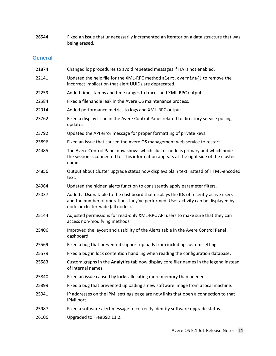26544 Fixed an issue that unnecessarily incremented an iterator on a data structure that was being erased.

## **General**

| 21874 | Changed log procedures to avoid repeated messages if HA is not enabled.                                                                                                                                       |
|-------|---------------------------------------------------------------------------------------------------------------------------------------------------------------------------------------------------------------|
| 22141 | Updated the help file for the XML-RPC method alert.override() to remove the<br>incorrect implication that alert UUIDs are deprecated.                                                                         |
| 22259 | Added time stamps and time ranges to traces and XML-RPC output.                                                                                                                                               |
| 22584 | Fixed a filehandle leak in the Avere OS maintenance process.                                                                                                                                                  |
| 22914 | Added performance metrics to logs and XML-RPC output.                                                                                                                                                         |
| 23762 | Fixed a display issue in the Avere Control Panel related to directory service polling<br>updates.                                                                                                             |
| 23792 | Updated the API error message for proper formatting of private keys.                                                                                                                                          |
| 23896 | Fixed an issue that caused the Avere OS management web service to restart.                                                                                                                                    |
| 24485 | The Avere Control Panel now shows which cluster node is primary and which node<br>the session is connected to. This information appears at the right side of the cluster<br>name.                             |
| 24856 | Output about cluster upgrade status now displays plain text instead of HTML-encoded<br>text.                                                                                                                  |
| 24964 | Updated the hidden alerts function to consistently apply parameter filters.                                                                                                                                   |
| 25037 | Added a Users table to the dashboard that displays the IDs of recently active users<br>and the number of operations they've performed. User activity can be displayed by<br>node or cluster-wide (all nodes). |
| 25144 | Adjusted permissions for read-only XML-RPC API users to make sure that they can<br>access non-modifying methods.                                                                                              |
| 25406 | Improved the layout and usability of the Alerts table in the Avere Control Panel<br>dashboard.                                                                                                                |
| 25569 | Fixed a bug that prevented support uploads from including custom settings.                                                                                                                                    |
| 25579 | Fixed a bug in lock contention handling when reading the configuration database.                                                                                                                              |
| 25583 | Custom graphs in the <b>Analytics</b> tab now display core filer names in the legend instead<br>of internal names.                                                                                            |
| 25840 | Fixed an issue caused by locks allocating more memory than needed.                                                                                                                                            |
| 25899 | Fixed a bug that prevented uploading a new software image from a local machine.                                                                                                                               |
| 25941 | IP addresses on the IPMI settings page are now links that open a connection to that<br>IPMI port.                                                                                                             |
| 25987 | Fixed a software alert message to correctly identify software upgrade status.                                                                                                                                 |
| 26106 | Upgraded to FreeBSD 11.2.                                                                                                                                                                                     |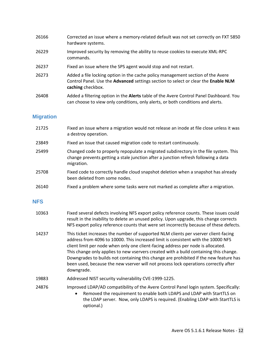- 26166 Corrected an issue where a memory-related default was not set correctly on FXT 5850 hardware systems.
- 26229 Improved security by removing the ability to reuse cookies to execute XML-RPC commands.
- 26237 Fixed an issue where the SPS agent would stop and not restart.
- 26273 Added a file locking option in the cache policy management section of the Avere Control Panel. Use the **Advanced** settings section to select or clear the **Enable NLM caching** checkbox.
- 26408 Added a filtering option in the **Alerts** table of the Avere Control Panel Dashboard. You can choose to view only conditions, only alerts, or both conditions and alerts.

### **Migration**

21725 Fixed an issue where a migration would not release an inode at file close unless it was a destroy operation. 23849 Fixed an issue that caused migration code to restart continuously. 25499 Changed code to properly repopulate a migrated subdirectory in the file system. This change prevents getting a stale junction after a junction refresh following a data migration. 25708 Fixed code to correctly handle cloud snapshot deletion when a snapshot has already been deleted from some nodes. 26140 Fixed a problem where some tasks were not marked as complete after a migration.

#### **NFS**

- 10363 Fixed several defects involving NFS export policy reference counts. These issues could result in the inability to delete an unused policy. Upon upgrade, this change corrects NFS export policy reference counts that were set incorrectly because of these defects.
- 14237 This ticket increases the number of supported NLM clients per vserver client-facing address from 4096 to 10000. This increased limit is consistent with the 10000 NFS client limit per node when only one client-facing address per node is allocated. This change only applies to new vservers created with a build containing this change. Downgrades to builds not containing this change are prohibited if the new feature has been used, because the new vserver will not process lock operations correctly after downgrade.
- 19883 Addressed NIST security vulnerability CVE-1999-1225.
- 24876 Improved LDAP/AD compatibility of the Avere Control Panel login system. Specifically:
	- Removed the requirement to enable both LDAPS and LDAP with StartTLS on the LDAP server. Now, only LDAPS is required. (Enabling LDAP with StartTLS is optional.)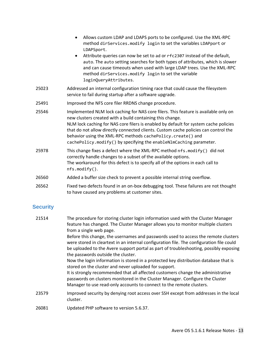|       | Allows custom LDAP and LDAPS ports to be configured. Use the XML-RPC<br>method dirServices.modify login to set the variables LDAPport or<br>LDAPSport.<br>Attribute queries can now be set to ad or rfc2307 instead of the default,<br>auto. The auto setting searches for both types of attributes, which is slower<br>and can cause timeouts when used with large LDAP trees. Use the XML-RPC<br>method dirServices.modify login to set the variable<br>loginQueryAttributes. |  |  |
|-------|---------------------------------------------------------------------------------------------------------------------------------------------------------------------------------------------------------------------------------------------------------------------------------------------------------------------------------------------------------------------------------------------------------------------------------------------------------------------------------|--|--|
| 25023 | Addressed an internal configuration timing race that could cause the filesystem<br>service to fail during startup after a software upgrade.                                                                                                                                                                                                                                                                                                                                     |  |  |
| 25491 | Improved the NFS core filer RRDNS change procedure.                                                                                                                                                                                                                                                                                                                                                                                                                             |  |  |
| 25546 | Implemented NLM lock caching for NAS core filers. This feature is available only on<br>new clusters created with a build containing this change.<br>NLM lock caching for NAS core filers is enabled by default for system cache policies<br>that do not allow directly connected clients. Custom cache policies can control the<br>behavior using the XML-RPC methods cachePolicy.create() and<br>cachePolicy.modify() by specifying the enableNlmCaching parameter.            |  |  |
| 25978 | This change fixes a defect where the XML-RPC method nfs. modify() did not<br>correctly handle changes to a subset of the available options.<br>The workaround for this defect is to specify all of the options in each call to<br>nfs.modify().                                                                                                                                                                                                                                 |  |  |
| 26560 | Added a buffer size check to prevent a possible internal string overflow.                                                                                                                                                                                                                                                                                                                                                                                                       |  |  |
| 26562 | Fixed two defects found in an on-box debugging tool. These failures are not thought                                                                                                                                                                                                                                                                                                                                                                                             |  |  |

26562 Fixed two defects found in an on-box debugging tool. These failures are not thought to have caused any problems at customer sites.

# <span id="page-14-0"></span>**Security**

| 21514 | The procedure for storing cluster login information used with the Cluster Manager<br>feature has changed. The Cluster Manager allows you to monitor multiple clusters<br>from a single web page.<br>Before this change, the usernames and passwords used to access the remote clusters<br>were stored in cleartext in an internal configuration file. The configuration file could<br>be uploaded to the Avere support portal as part of troubleshooting, possibly exposing |
|-------|-----------------------------------------------------------------------------------------------------------------------------------------------------------------------------------------------------------------------------------------------------------------------------------------------------------------------------------------------------------------------------------------------------------------------------------------------------------------------------|
|       | the passwords outside the cluster.<br>Now the login information is stored in a protected key distribution database that is<br>stored on the cluster and never uploaded for support.<br>It is strongly recommended that all affected customers change the administrative<br>passwords on clusters monitored in the Cluster Manager. Configure the Cluster<br>Manager to use read-only accounts to connect to the remote clusters.                                            |
| 23579 | Improved security by denying root access over SSH except from addresses in the local<br>cluster.                                                                                                                                                                                                                                                                                                                                                                            |
| 26081 | Updated PHP software to version 5.6.37.                                                                                                                                                                                                                                                                                                                                                                                                                                     |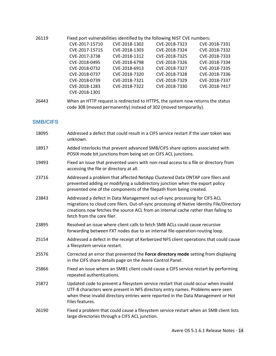26119 Fixed port vulnerabilities identified by the following NIST CVE numbers:

| CVE-2017-15710 | CVE-2018-1302 | CVE-2018-7323 | CVE-2018-7331 |
|----------------|---------------|---------------|---------------|
| CVE-2017-15715 | CVE-2018-1303 | CVE-2018-7324 | CVE-2018-7332 |
| CVE-2017-3738  | CVE-2018-1312 | CVE-2018-7325 | CVE-2018-7333 |
| CVE-2018-0495  | CVE-2018-6798 | CVE-2018-7326 | CVE-2018-7334 |
| CVE-2018-0732  | CVE-2018-6913 | CVE-2018-7327 | CVE-2018-7335 |
| CVE-2018-0737  | CVE-2018-7320 | CVE-2018-7328 | CVE-2018-7336 |
| CVE-2018-0739  | CVE-2018-7321 | CVE-2018-7329 | CVE-2018-7337 |
| CVE-2018-1283  | CVE-2018-7322 | CVE-2018-7330 | CVE-2018-7417 |
| CVE-2018-1301  |               |               |               |
|                |               |               |               |

26443 When an HTTP request is redirected to HTTPS, the system now returns the status code 308 (moved permanently) instead of 302 (moved temporarily).

## **SMB/CIFS**

| 18095 | Addressed a defect that could result in a CIFS service restart if the user token was<br>unknown.                                                                                                                                                                                           |
|-------|--------------------------------------------------------------------------------------------------------------------------------------------------------------------------------------------------------------------------------------------------------------------------------------------|
| 18917 | Added interlocks that prevent advanced SMB/CIFS share options associated with<br>POSIX mode bit junctions from being set on CIFS ACL junctions.                                                                                                                                            |
| 19493 | Fixed an issue that prevented users with non-read access to a file or directory from<br>accessing the file or directory at all.                                                                                                                                                            |
| 23716 | Addressed a problem that affected NetApp Clustered Data ONTAP core filers and<br>prevented adding or modifying a subdirectory junction when the export policy<br>prevented one of the components of the filepath from being created.                                                       |
| 23843 | Addressed a defect in Data Management out-of-sync processing for CIFS ACL<br>migrations to cloud core filers. Out-of-sync processing of Native Identity File/Directory<br>creations now fetches the source ACL from an internal cache rather than failing to<br>fetch from the core filer. |
| 23895 | Resolved an issue where client calls to fetch SMB ACLs could cause recursive<br>forwarding between FXT nodes due to an internal file-operation-routing loop.                                                                                                                               |
| 25154 | Addressed a defect in the receipt of Kerberized NFS client operations that could cause<br>a filesystem service restart.                                                                                                                                                                    |
| 25576 | Corrected an error that prevented the Force directory mode setting from displaying<br>in the CIFS share details page on the Avere Control Panel.                                                                                                                                           |
| 25866 | Fixed an issue where an SMB1 client could cause a CIFS service restart by performing<br>repeated authentications.                                                                                                                                                                          |
| 25872 | Updated code to prevent a filesystem service restart that could occur when invalid<br>UTF-8 characters were present in NFS directory entry names. Problems were seen<br>when these invalid directory entries were reported in the Data Management or Hot<br>Files features.                |
| 26190 | Fixed a problem that could cause a filesystem service restart when an SMB client lists<br>large directories through a CIFS ACL junction.                                                                                                                                                   |